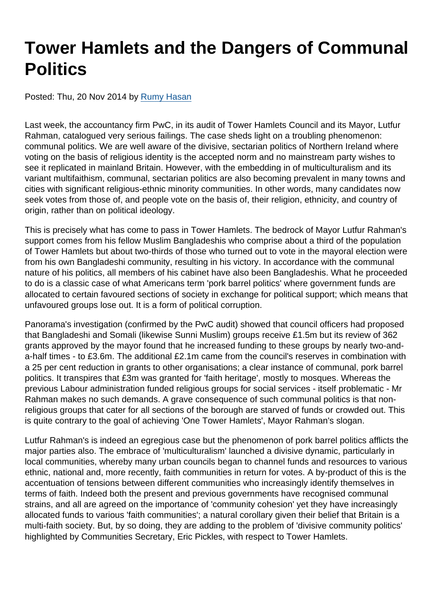## Tower Hamlets and the Dangers of Communal **Politics**

Posted: Thu, 20 Nov 2014 by [Rumy Hasan](https://www.secularism.org.uk/opinion/authors/861)

Last week, the accountancy firm PwC, in its audit of Tower Hamlets Council and its Mayor, Lutfur Rahman, catalogued very serious failings. The case sheds light on a troubling phenomenon: communal politics. We are well aware of the divisive, sectarian politics of Northern Ireland where voting on the basis of religious identity is the accepted norm and no mainstream party wishes to see it replicated in mainland Britain. However, with the embedding in of multiculturalism and its variant multifaithism, communal, sectarian politics are also becoming prevalent in many towns and cities with significant religious-ethnic minority communities. In other words, many candidates now seek votes from those of, and people vote on the basis of, their religion, ethnicity, and country of origin, rather than on political ideology.

This is precisely what has come to pass in Tower Hamlets. The bedrock of Mayor Lutfur Rahman's support comes from his fellow Muslim Bangladeshis who comprise about a third of the population of Tower Hamlets but about two-thirds of those who turned out to vote in the mayoral election were from his own Bangladeshi community, resulting in his victory. In accordance with the communal nature of his politics, all members of his cabinet have also been Bangladeshis. What he proceeded to do is a classic case of what Americans term 'pork barrel politics' where government funds are allocated to certain favoured sections of society in exchange for political support; which means that unfavoured groups lose out. It is a form of political corruption.

Panorama's investigation (confirmed by the PwC audit) showed that council officers had proposed that Bangladeshi and Somali (likewise Sunni Muslim) groups receive £1.5m but its review of 362 grants approved by the mayor found that he increased funding to these groups by nearly two-anda-half times - to £3.6m. The additional £2.1m came from the council's reserves in combination with a 25 per cent reduction in grants to other organisations; a clear instance of communal, pork barrel politics. It transpires that £3m was granted for 'faith heritage', mostly to mosques. Whereas the previous Labour administration funded religious groups for social services - itself problematic - Mr Rahman makes no such demands. A grave consequence of such communal politics is that nonreligious groups that cater for all sections of the borough are starved of funds or crowded out. This is quite contrary to the goal of achieving 'One Tower Hamlets', Mayor Rahman's slogan.

Lutfur Rahman's is indeed an egregious case but the phenomenon of pork barrel politics afflicts the major parties also. The embrace of 'multiculturalism' launched a divisive dynamic, particularly in local communities, whereby many urban councils began to channel funds and resources to various ethnic, national and, more recently, faith communities in return for votes. A by-product of this is the accentuation of tensions between different communities who increasingly identify themselves in terms of faith. Indeed both the present and previous governments have recognised communal strains, and all are agreed on the importance of 'community cohesion' yet they have increasingly allocated funds to various 'faith communities'; a natural corollary given their belief that Britain is a multi-faith society. But, by so doing, they are adding to the problem of 'divisive community politics' highlighted by Communities Secretary, Eric Pickles, with respect to Tower Hamlets.